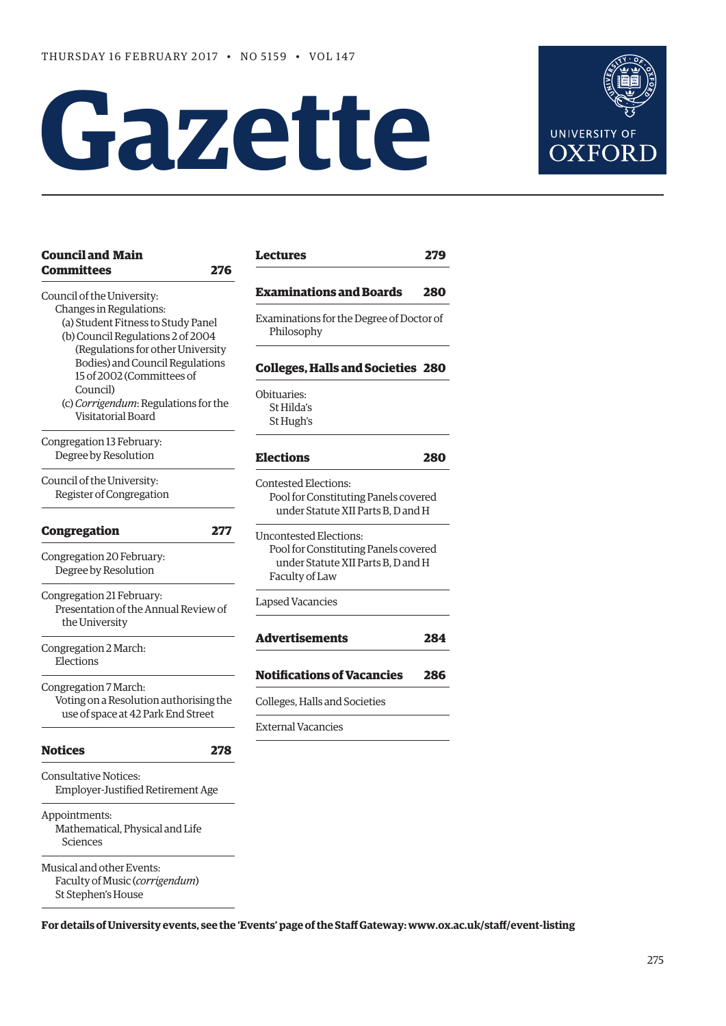# **Gazette**



| <b>Council and Main</b><br><b>Committees</b><br>276                                                | <b>Lectures</b>                                                                                                               | 279 |
|----------------------------------------------------------------------------------------------------|-------------------------------------------------------------------------------------------------------------------------------|-----|
| Council of the University:                                                                         | <b>Examinations and Boards</b>                                                                                                | 280 |
| Changes in Regulations:<br>(a) Student Fitness to Study Panel<br>(b) Council Regulations 2 of 2004 | Examinations for the Degree of Doctor of<br>Philosophy                                                                        |     |
| (Regulations for other University<br>Bodies) and Council Regulations<br>15 of 2002 (Committees of  | <b>Colleges, Halls and Societies 280</b>                                                                                      |     |
| Council)<br>(c) Corrigendum: Regulations for the<br>Visitatorial Board                             | Obituaries:<br>St Hilda's<br>St Hugh's                                                                                        |     |
| Congregation 13 February:<br>Degree by Resolution                                                  | <b>Elections</b>                                                                                                              | 280 |
| Council of the University:<br>Register of Congregation                                             | <b>Contested Elections:</b><br>Pool for Constituting Panels covered<br>under Statute XII Parts B, D and H                     |     |
| <b>Congregation</b><br>277<br>Congregation 20 February:<br>Degree by Resolution                    | <b>Uncontested Elections:</b><br>Pool for Constituting Panels covered<br>under Statute XII Parts B. D and H<br>Faculty of Law |     |
| Congregation 21 February:<br>Presentation of the Annual Review of<br>the University                | <b>Lapsed Vacancies</b>                                                                                                       |     |
| Congregation 2 March:<br>Elections                                                                 | <b>Advertisements</b>                                                                                                         | 284 |
| Congregation 7 March:                                                                              | <b>Notifications of Vacancies</b>                                                                                             | 286 |
| Voting on a Resolution authorising the<br>use of space at 42 Park End Street                       | Colleges, Halls and Societies                                                                                                 |     |
|                                                                                                    | <b>External Vacancies</b>                                                                                                     |     |
| <b>Notices</b><br>278                                                                              |                                                                                                                               |     |
| <b>Consultative Notices:</b><br>Employer-Justified Retirement Age                                  |                                                                                                                               |     |
| Appointments:<br>Mathematical, Physical and Life<br>Sciences                                       |                                                                                                                               |     |
| Musical and other Events:<br>Faculty of Music (corrigendum)<br>St Stephen's House                  |                                                                                                                               |     |

**For details of University events, see the 'Events' page of the Staff Gateway: [www.ox.ac.uk/staff/event-listing](http://www.ox.ac.uk/staff/event-listing)**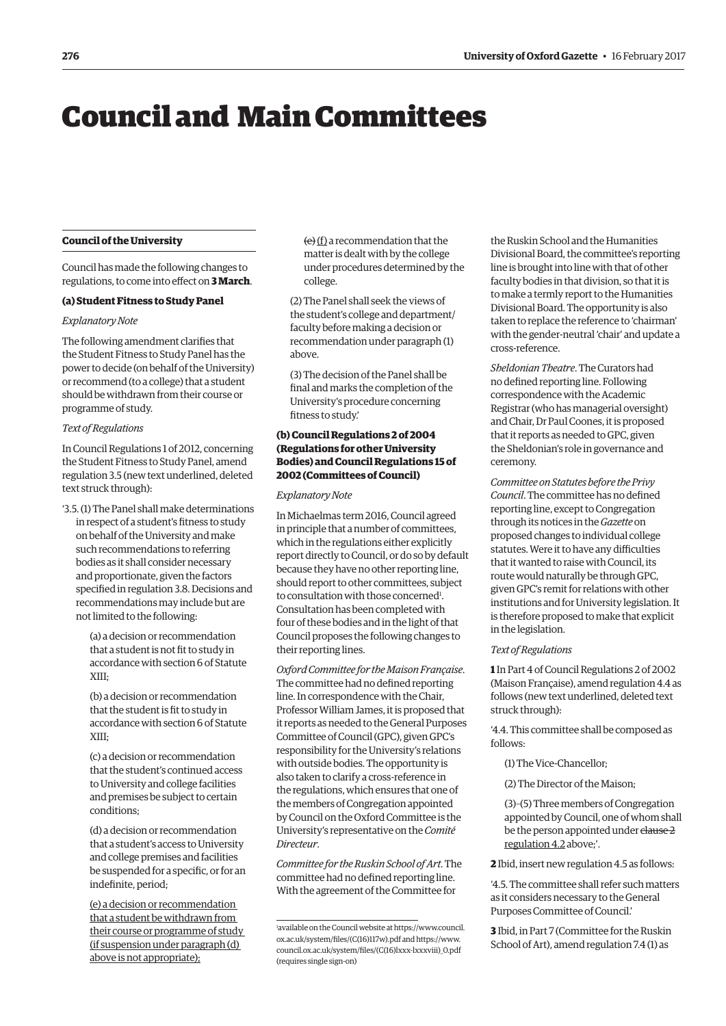# <span id="page-1-0"></span>Council and Main Committees

## **Council of the University**

Council has made the following changes to regulations, to come into effect on **3 March**.

## **(a) Student Fitness to Study Panel**

#### *Explanatory Note*

The following amendment clarifies that the Student Fitness to Study Panel has the power to decide (on behalf of the University) or recommend (to a college) that a student should be withdrawn from their course or programme of study.

#### *Text of Regulations*

In Council Regulations 1 of 2012, concerning the Student Fitness to Study Panel, amend regulation 3.5 (new text underlined, deleted text struck through):

'3.5. (1) The Panel shall make determinations in respect of a student's fitness to study on behalf of the University and make such recommendations to referring bodies as it shall consider necessary and proportionate, given the factors specified in regulation 3.8. Decisions and recommendations may include but are not limited to the following:

> (a) a decision or recommendation that a student is not fit to study in accordance with section 6 of Statute XIII;

> (b) a decision or recommendation that the student is fit to study in accordance with section 6 of Statute XIII;

(c) a decision or recommendation that the student's continued access to University and college facilities and premises be subject to certain conditions;

(d) a decision or recommendation that a student's access to University and college premises and facilities be suspended for a specific, or for an indefinite, period;

(e) a decision or recommendation that a student be withdrawn from their course or programme of study (if suspension under paragraph (d) above is not appropriate);

 $(e)$  (f) a recommendation that the matter is dealt with by the college under procedures determined by the college.

(2) The Panel shall seek the views of the student's college and department/ faculty before making a decision or recommendation under paragraph (1) above.

(3) The decision of the Panel shall be final and marks the completion of the University's procedure concerning fitness to study.'

# **(b) Council Regulations 2 of 2004 (Regulations for other University Bodies) and Council Regulations 15 of 2002 (Committees of Council)**

#### *Explanatory Note*

In Michaelmas term 2016, Council agreed in principle that a number of committees, which in the regulations either explicitly report directly to Council, or do so by default because they have no other reporting line, should report to other committees, subject to consultation with those concerned<sup>1</sup>. Consultation has been completed with four of these bodies and in the light of that Council proposes the following changes to their reporting lines.

*Oxford Committee for the Maison Française*. The committee had no defined reporting line. In correspondence with the Chair, Professor William James, it is proposed that it reports as needed to the General Purposes Committee of Council (GPC), given GPC's responsibility for the University's relations with outside bodies. The opportunity is also taken to clarify a cross-reference in the regulations, which ensures that one of the members of Congregation appointed by Council on the Oxford Committee is the University's representative on the *Comité Directeur*.

*Committee for the Ruskin School of Art*. The committee had no defined reporting line. With the agreement of the Committee for

the Ruskin School and the Humanities Divisional Board, the committee's reporting line is brought into line with that of other faculty bodies in that division, so that it is to make a termly report to the Humanities Divisional Board. The opportunity is also taken to replace the reference to 'chairman' with the gender-neutral 'chair' and update a cross-reference.

*Sheldonian Theatre*. The Curators had no defined reporting line. Following correspondence with the Academic Registrar (who has managerial oversight) and Chair, Dr Paul Coones, it is proposed that it reports as needed to GPC, given the Sheldonian's role in governance and ceremony.

*Committee on Statutes before the Privy Council*. The committee has no defined reporting line, except to Congregation through its notices in the *Gazette* on proposed changes to individual college statutes. Were it to have any difficulties that it wanted to raise with Council, its route would naturally be through GPC, given GPC's remit for relations with other institutions and for University legislation. It is therefore proposed to make that explicit in the legislation.

#### *Text of Regulations*

**1** In Part 4 of Council Regulations 2 of 2002 (Maison Française), amend regulation 4.4 as follows (new text underlined, deleted text struck through):

'4.4. This committee shall be composed as follows:

- (1) The Vice-Chancellor;
- (2) The Director of the Maison;

(3)–(5) Three members of Congregation appointed by Council, one of whom shall be the person appointed under clause 2 regulation 4.2 above;'.

**2** Ibid, insert new regulation 4.5 as follows:

'4.5. The committee shall refer such matters as it considers necessary to the General Purposes Committee of Council.'

**3** Ibid, in Part 7 (Committee for the Ruskin School of Art), amend regulation 7.4 (1) as

<sup>1</sup> available on the Council [website at https://www.council.](https://www.council.ox.ac.uk/system/files/(C(16)117w).pdf) ox.ac.uk/system/files/(C(16)117w).pdf and https://www. council.ox.ac.uk/system/files/(C(16)lxx[x-lxxxviii\)\\_0.pdf](https://www.council.ox.ac.uk/system/files/(C(16)lxxx-lxxxviii)_0.pdf)  (requires single sign-on)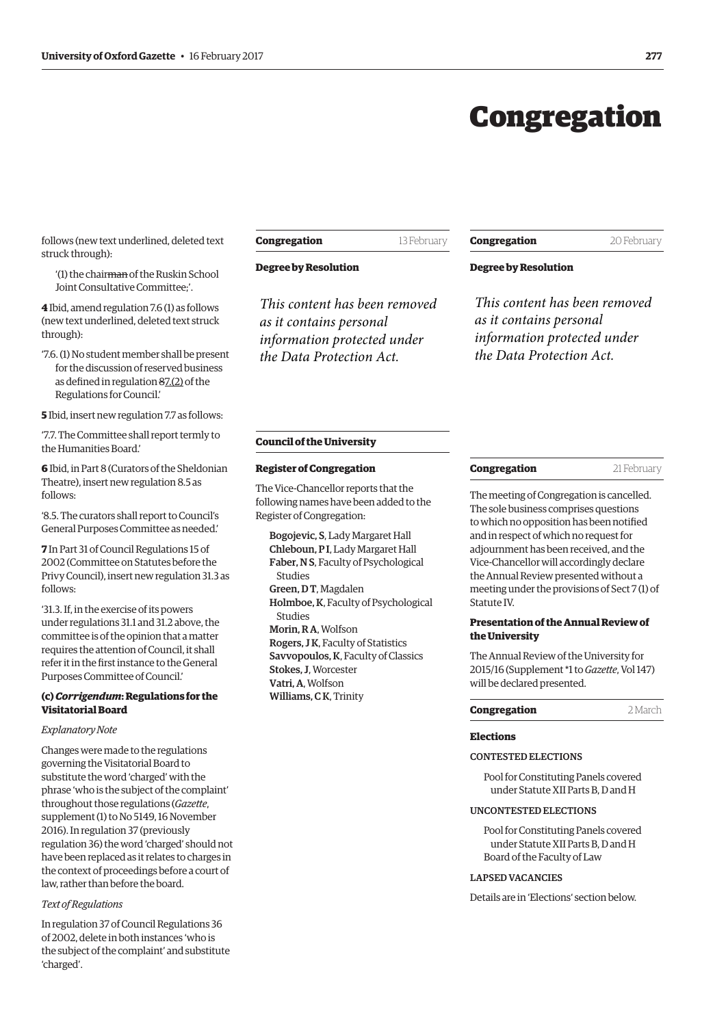# Congregation

<span id="page-2-0"></span>follows (new text underlined, deleted text struck through):

'(1) the chairman of the Ruskin School Joint Consultative Committee;'.

**4** Ibid, amend regulation 7.6 (1) as follows (new text underlined, deleted text struck through):

'7.6. (1) No student member shall be present for the discussion of reserved business as defined in regulation 87.(2) of the Regulations for Council.'

**5** Ibid, insert new regulation 7.7 as follows:

'7.7. The Committee shall report termly to the Humanities Board.'

**6** Ibid, in Part 8 (Curators of the Sheldonian Theatre), insert new regulation 8.5 as follows:

'8.5. The curators shall report to Council's General Purposes Committee as needed.'

**7** In Part 31 of Council Regulations 15 of 2002 (Committee on Statutes before the Privy Council), insert new regulation 31.3 as follows:

'31.3. If, in the exercise of its powers under regulations 31.1 and 31.2 above, the committee is of the opinion that a matter requires the attention of Council, it shall refer it in the first instance to the General Purposes Committee of Council.'

# **(c)** *Corrigendum***: Regulations for the Visitatorial Board**

## *Explanatory Note*

Changes were made to the regulations governing the Visitatorial Board to substitute the word 'charged' with the phrase 'who is the subject of the complaint' throughout those regulations (*Gazette*, [supplement \(1\) to No 5149, 16 November](http://www.ox.ac.uk/gazette/2016-2017/17november2016-no5150/supplements/#245211)  2016). In regulation 37 (previously regulation 36) the word 'charged' should not have been replaced as it relates to charges in the context of proceedings before a court of law, rather than before the board.

#### *Text of Regulations*

In regulation 37 of Council Regulations 36 of 2002, delete in both instances 'who is the subject of the complaint' and substitute 'charged'.

# **Congregation** 13 February

## **Degree by Resolution**

*This content has been removed as it contains personal information protected under the Data Protection Act.*

# **Congregation** 20 February

# **Degree by Resolution**

*This content has been removed as it contains personal information protected under the Data Protection Act.*

#### **Council of the University**

# **Register of Congregation**

The Vice-Chancellor reports that the following names have been added to the Register of Congregation:

Bogojevic, S, Lady Margaret Hall Chleboun, P I, Lady Margaret Hall Faber, N S, Faculty of Psychological Studies Green, D T, Magdalen Holmboe, K, Faculty of Psychological Studies Morin, R A, Wolfson Rogers, J K, Faculty of Statistics Savvopoulos, K, Faculty of Classics Stokes, J, Worcester Vatri, A, Wolfson Williams, C K, Trinity

#### **Congregation** 21 February

The meeting of Congregation is cancelled. The sole business comprises questions to which no opposition has been notified and in respect of which no request for adjournment has been received, and the Vice-Chancellor will accordingly declare the Annual Review presented without a meeting under the provisions of Sect 7 (1) of Statute IV.

# **Presentation of the Annual Review of the University**

The Annual Review of the University for 2015/16 ([Supplement \\*1 to](http://www.ox.ac.uk/about/organisation/annual-review) *Gazette*, Vol 147) will be declared presented.

# **Congregation** 2 March

# **Elections**

# CONTESTED ELECTIONS

Pool for Constituting Panels covered under Statute XII Parts B, D and H

# UNCONTESTED ELECTIONS

Pool for Constituting Panels covered under Statute XII Parts B, D and H Board of the Faculty of Law

# LAPSED VACANCIES

Details are in '[Elections'](#page-5-0) section below.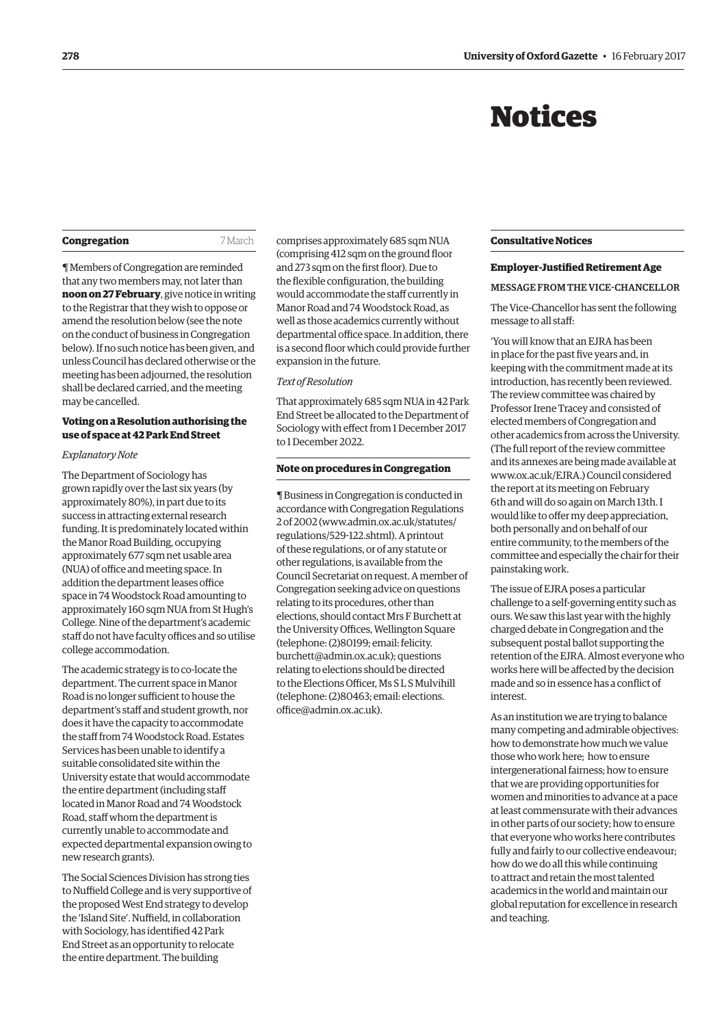# Notices

<span id="page-3-0"></span>

| Congregation |
|--------------|
|--------------|

**Congregation** 7 March

¶ Members of Congregation are reminded that any two members may, not later than **noon on 27 February**, give notice in writing to the Registrar that they wish to oppose or amend the resolution below (see the note on the conduct of business in Congregation below). If no such notice has been given, and unless Council has declared otherwise or the meeting has been adjourned, the resolution shall be declared carried, and the meeting may be cancelled.

# **Voting on a Resolution authorising the use of space at 42 Park End Street**

#### *Explanatory Note*

The Department of Sociology has grown rapidly over the last six years (by approximately 80%), in part due to its success in attracting external research funding. It is predominately located within the Manor Road Building, occupying approximately 677 sqm net usable area (NUA) of office and meeting space. In addition the department leases office space in 74 Woodstock Road amounting to approximately 160 sqm NUA from St Hugh's College. Nine of the department's academic staff do not have faculty offices and so utilise college accommodation.

The academic strategy is to co-locate the department. The current space in Manor Road is no longer sufficient to house the department's staff and student growth, nor does it have the capacity to accommodate the staff from 74 Woodstock Road. Estates Services has been unable to identify a suitable consolidated site within the University estate that would accommodate the entire department (including staff located in Manor Road and 74 Woodstock Road, staff whom the department is currently unable to accommodate and expected departmental expansion owing to new research grants).

The Social Sciences Division has strong ties to Nuffield College and is very supportive of the proposed West End strategy to develop the 'Island Site'. Nuffield, in collaboration with Sociology, has identified 42 Park End Street as an opportunity to relocate the entire department. The building

comprises approximately 685 sqm NUA (comprising 412 sqm on the ground floor and 273 sqm on the first floor). Due to the flexible configuration, the building would accommodate the staff currently in Manor Road and 74 Woodstock Road, as well as those academics currently without departmental office space. In addition, there is a second floor which could provide further expansion in the future.

#### *Text of Resolution*

That approximately 685 sqm NUA in 42 Park End Street be allocated to the Department of Sociology with effect from 1 December 2017 to 1 December 2022.

#### **Note on procedures in Congregation**

¶ Business in Congregation is conducted in accordance with Congregation Regulations 2 of 2002 [\(www.admin.ox.ac.uk/statutes/](http://www.admin.ox.ac.uk/statutes/regulations/529-122.shtml) [regulations/529-122.shtml\). A p](http://www.admin.ox.ac.uk/statutes/regulations/529-122.shtml)rintout of these regulations, or of any statute or other regulations, is available from the Council Secretariat on request. A member of Congregation seeking advice on questions relating to its procedures, other than elections, should contact Mrs F Burchett at the University Offices, Wellington Square (telephone: (2)80199; email: felicity. [burchett@admin.ox.ac.uk\); questions](mailto:felicity.burchett@admin.ox.ac.uk)  relating to elections should be directed to the Elections Officer, Ms S L S Mulvihill [\(telephone: \(2\)80463; email: elections.](mailto:elections.office@admin.ox.ac.uk) office@admin.ox.ac.uk).

#### **Consultative Notices**

#### **Employer-Justified Retirement Age**

# MESSAGE FROM THE VICE-CHANCELLOR

The Vice-Chancellor has sent the following message to all staff:

'You will know that an EJRA has been in place for the past five years and, in keeping with the commitment made at its introduction, has recently been reviewed. The review committee was chaired by Professor Irene Tracey and consisted of elected members of Congregation and other academics from across the University. (The full report of the review committee and its annexes are being made available at [www.ox.ac.uk/EJRA.\) Co](http://www.ox.ac.uk/EJRA)uncil considered the report at its meeting on February 6th and will do so again on March 13th. I would like to offer my deep appreciation, both personally and on behalf of our entire community, to the members of the committee and especially the chair for their painstaking work.

The issue of EJRA poses a particular challenge to a self-governing entity such as ours. We saw this last year with the highly charged debate in Congregation and the subsequent postal ballot supporting the retention of the EJRA. Almost everyone who works here will be affected by the decision made and so in essence has a conflict of interest.

As an institution we are trying to balance many competing and admirable objectives: how to demonstrate how much we value those who work here; how to ensure intergenerational fairness; how to ensure that we are providing opportunities for women and minorities to advance at a pace at least commensurate with their advances in other parts of our society; how to ensure that everyone who works here contributes fully and fairly to our collective endeavour; how do we do all this while continuing to attract and retain the most talented academics in the world and maintain our global reputation for excellence in research and teaching.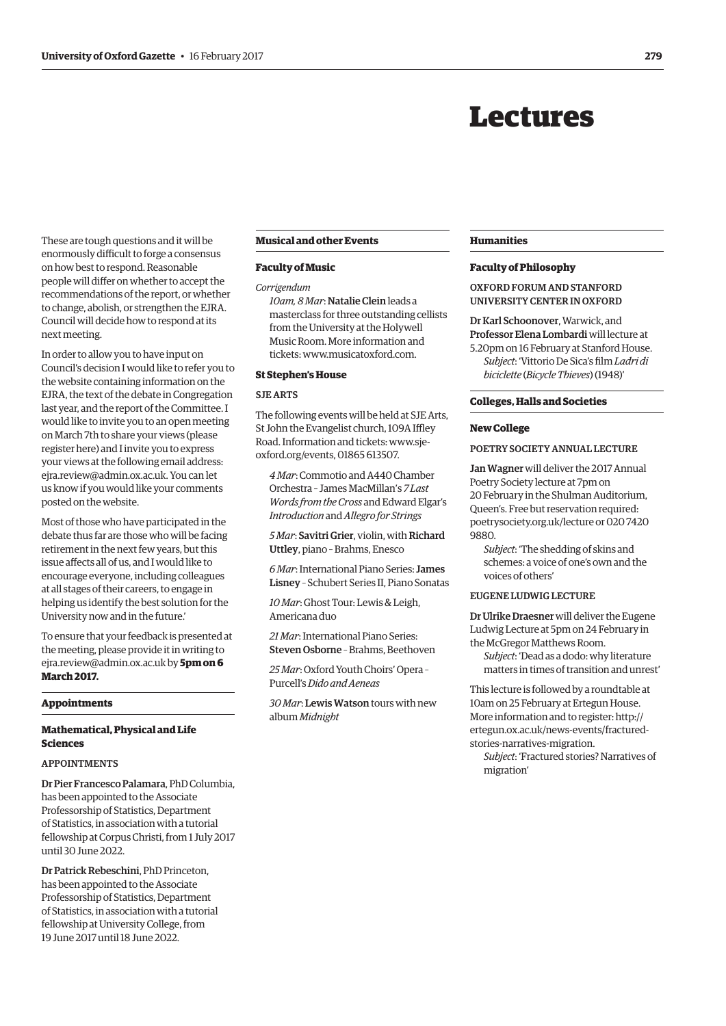# Lectures

<span id="page-4-0"></span>These are tough questions and it will be enormously difficult to forge a consensus on how best to respond. Reasonable people will differ on whether to accept the recommendations of the report, or whether to change, abolish, or strengthen the EJRA. Council will decide how to respond at its next meeting.

In order to allow you to have input on Council's decision I would like to refer you to the website containing information on the EJRA, the text of the debate in Congregation last year, and the report of the Committee. I would like to invite you to an open meeting on March 7th to share your views (please register here) and I invite you to express your views at the following email address: [ejra.review@admin.ox.ac.uk. Yo](mailto:ejra.review@admin.ox.ac.uk)u can let us know if you would like your comments posted on the website.

Most of those who have participated in the debate thus far are those who will be facing retirement in the next few years, but this issue affects all of us, and I would like to encourage everyone, including colleagues at all stages of their careers, to engage in helping us identify the best solution for the University now and in the future.'

To ensure that your feedback is presented at the meeting, please provide it in writing to [ejra.review@admin.ox.ac.uk by](mailto:ejra.review@admin.ox.ac.uk) **5pm on 6 March 2017.**

#### **Appointments**

# **Mathematical, Physical and Life Sciences**

#### APPOINTMENTS

Dr Pier Francesco Palamara, PhD Columbia, has been appointed to the Associate Professorship of Statistics, Department of Statistics, in association with a tutorial fellowship at Corpus Christi, from 1 July 2017 until 30 June 2022.

Dr Patrick Rebeschini, PhD Princeton, has been appointed to the Associate Professorship of Statistics, Department of Statistics, in association with a tutorial fellowship at University College, from 19 June 2017 until 18 June 2022.

#### **Musical and other Events**

#### **Faculty of Music**

*Corrigendum*

*10am, 8 Mar*: Natalie Clein leads a masterclass for three outstanding cellists from the University at the Holywell Music Room. More information and tickets: [www.musicatoxford.com.](http://www.musicatoxford.com)

# **St Stephen's House**

# SJE ARTS

The following events will be held at SJE Arts, St John the Evangelist church, 109A Iffley [Road. Information and tickets: www.sje](www.sje-oxford.org/events)oxford.org/events, 01865 613507.

*4 Mar*: Commotio and A440 Chamber Orchestra – James MacMillan's *7 Last Words from the Cross* and Edward Elgar's *Introduction* and *Allegro for Strings*

*5 Mar*: Savitri Grier, violin, with Richard Uttley, piano – Brahms, Enesco

*6 Mar*: International Piano Series: James Lisney – Schubert Series II, Piano Sonatas

*10 Mar*: Ghost Tour: Lewis & Leigh, Americana duo

*21 Mar*: International Piano Series: Steven Osborne – Brahms, Beethoven

*25 Mar*: Oxford Youth Choirs' Opera – Purcell's *Dido and Aeneas*

*30 Mar*: Lewis Watson tours with new album *Midnight*

#### **Humanities**

#### **Faculty of Philosophy**

OXFORD FORUM AND STANFORD UNIVERSITY CENTER IN OXFORD

Dr Karl Schoonover, Warwick, and Professor Elena Lombardi will lecture at 5.20pm on 16 February at Stanford House.

*Subject*: 'Vittorio De Sica's film *Ladri di biciclette* (*Bicycle Thieves*) (1948)'

#### **Colleges, Halls and Societies**

#### **New College**

POETRY SOCIETY ANNUAL LECTURE

Jan Wagner will deliver the 2017 Annual Poetry Society lecture at 7pm on 20 February in the Shulman Auditorium, Queen's. Free but reservation required: [poetrysociety.org.uk/lecture or 020 7420](poetrysociety.org.uk/lecture)  9880.

*Subject*: 'The shedding of skins and schemes: a voice of one's own and the voices of others'

# EUGENE LUDWIG LECTURE

Dr Ulrike Draesner will deliver the Eugene Ludwig Lecture at 5pm on 24 February in the McGregor Matthews Room.

*Subject*: 'Dead as a dodo: why literature matters in times of transition and unrest'

This lecture is followed by a roundtable at 10am on 25 February at Ertegun House. More information and to register: http:// [ertegun.ox.ac.uk/news-events/fractured](http://ertegun.ox.ac.uk/news-events/fractured-stories-narratives-migration)stories-narratives-migration.

*Subject*: 'Fractured stories? Narratives of migration'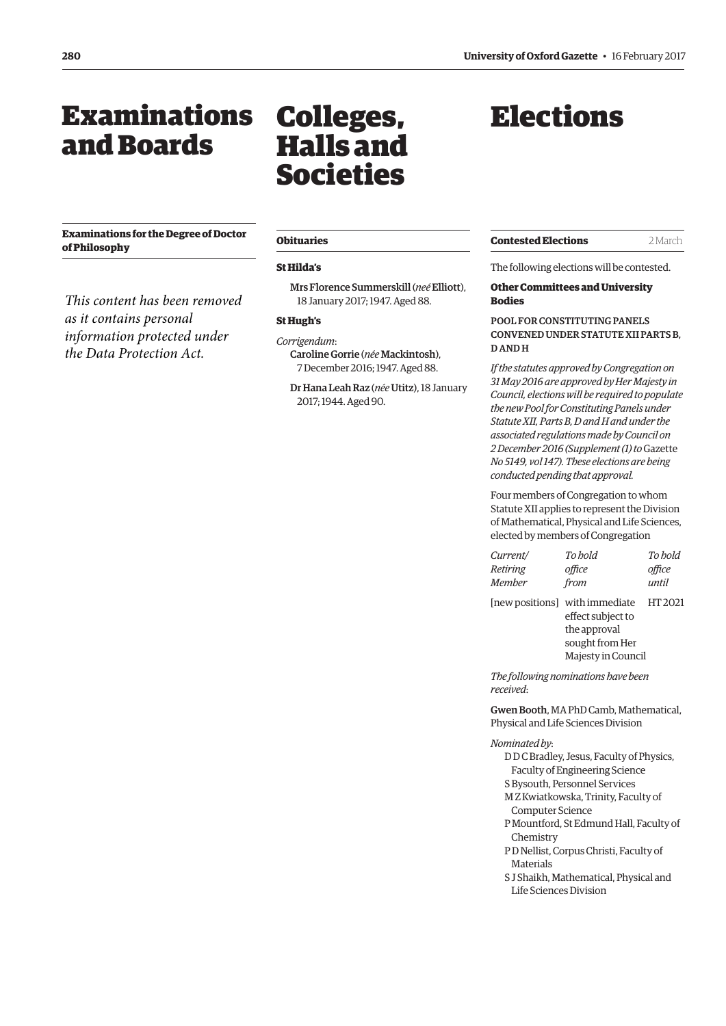# <span id="page-5-0"></span>Examinations and Boards

# **Examinations for the Degree of Doctor of Philosophy**

*This content has been removed as it contains personal information protected under the Data Protection Act.*

# Colleges, Halls and Societies

#### **Obituaries**

#### **St Hilda's**

Mrs Florence Summerskill (*neé* Elliott), 18 January 2017; 1947. Aged 88.

#### **St Hugh's**

*Corrigendum*: Caroline Gorrie (*née* Mackintosh), 7 December 2016; 1947. Aged 88.

Dr Hana Leah Raz (*née* Utitz), 18 January 2017; 1944. Aged 90.

# Elections

| <b>Contested Elections</b> | 2 March |
|----------------------------|---------|
|----------------------------|---------|

The following elections will be contested.

# **Other Committees and University Bodies**

# POOL FOR CONSTITUTING PANELS CONVENED UNDER STATUTE XII PARTS B, D AND H

*If the statutes approved by Congregation on 31 May 2016 are approved by Her Majesty in Council, elections will be required to populate the new Pool for Constituting Panels under Statute XII, Parts B, D and H and under the associated regulations made by Council on 2 December 2016 (Supplement (1) to* Gazette *No 5149, vol 147). These elections are being conducted pending that approval.*

Four members of Congregation to whom Statute XII applies to represent the Division of Mathematical, Physical and Life Sciences, elected by members of Congregation

| Current/ | To bold                        | To hold |
|----------|--------------------------------|---------|
| Retiring | office                         | office  |
| Member   | from                           | until   |
|          | [new positions] with immediate | HT 2021 |
|          | effect subject to              |         |
|          | the approval                   |         |
|          | sought from Her                |         |
|          | Majesty in Council             |         |

*The following nominations have been received*:

Gwen Booth, MA PhD Camb, Mathematical, Physical and Life Sciences Division

#### *Nominated by*:

D D C Bradley, Jesus, Faculty of Physics, Faculty of Engineering Science

- S Bysouth, Personnel Services
- M Z Kwiatkowska, Trinity, Faculty of Computer Science
- P Mountford, St Edmund Hall, Faculty of Chemistry
- P D Nellist, Corpus Christi, Faculty of Materials
- S J Shaikh, Mathematical, Physical and Life Sciences Division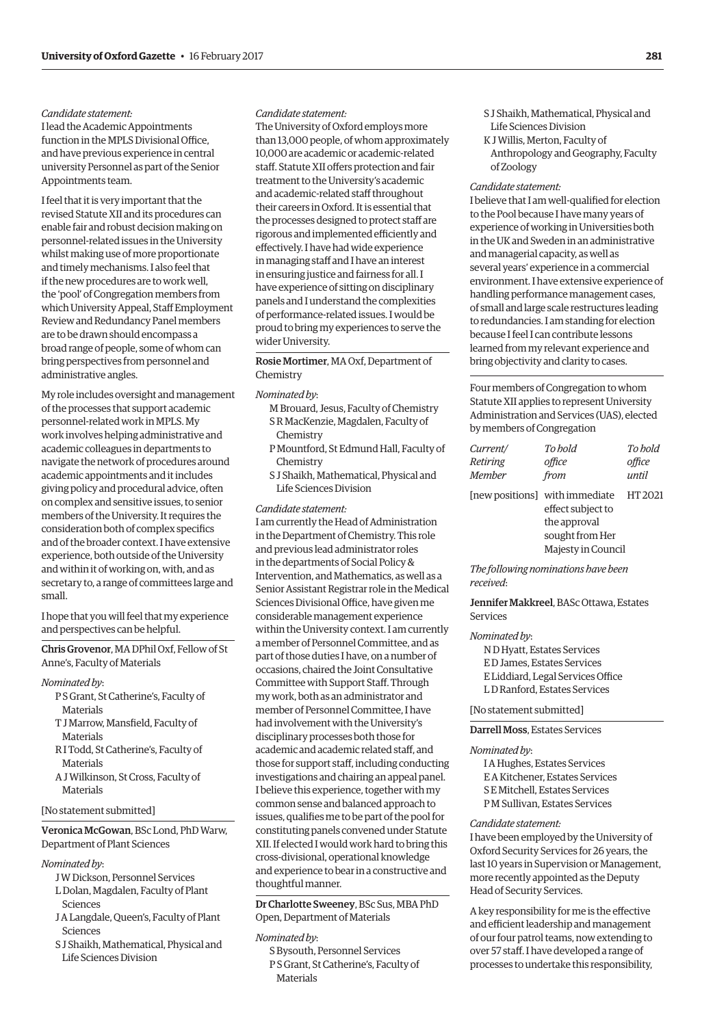# *Candidate statement:*

I lead the Academic Appointments function in the MPLS Divisional Office, and have previous experience in central university Personnel as part of the Senior Appointments team.

I feel that it is very important that the revised Statute XII and its procedures can enable fair and robust decision making on personnel-related issues in the University whilst making use of more proportionate and timely mechanisms. I also feel that if the new procedures are to work well, the 'pool' of Congregation members from which University Appeal, Staff Employment Review and Redundancy Panel members are to be drawn should encompass a broad range of people, some of whom can bring perspectives from personnel and administrative angles.

My role includes oversight and management of the processes that support academic personnel-related work in MPLS. My work involves helping administrative and academic colleagues in departments to navigate the network of procedures around academic appointments and it includes giving policy and procedural advice, often on complex and sensitive issues, to senior members of the University. It requires the consideration both of complex specifics and of the broader context. I have extensive experience, both outside of the University and within it of working on, with, and as secretary to, a range of committees large and small.

I hope that you will feel that my experience and perspectives can be helpful.

Chris Grovenor, MA DPhil Oxf, Fellow of St Anne's, Faculty of Materials

#### *Nominated by*:

- P S Grant, St Catherine's, Faculty of Materials
- T J Marrow, Mansfield, Faculty of **Materials**
- R I Todd, St Catherine's, Faculty of Materials
- A J Wilkinson, St Cross, Faculty of **Materials**

#### [No statement submitted]

# Veronica McGowan, BSc Lond, PhD Warw, Department of Plant Sciences

#### *Nominated by*:

- J W Dickson, Personnel Services
- L Dolan, Magdalen, Faculty of Plant Sciences
- J A Langdale, Queen's, Faculty of Plant Sciences
- S J Shaikh, Mathematical, Physical and Life Sciences Division

# *Candidate statement:*

The University of Oxford employs more than 13,000 people, of whom approximately 10,000 are academic or academic-related staff. Statute XII offers protection and fair treatment to the University's academic and academic-related staff throughout their careers in Oxford. It is essential that the processes designed to protect staff are rigorous and implemented efficiently and effectively. I have had wide experience in managing staff and I have an interest in ensuring justice and fairness for all. I have experience of sitting on disciplinary panels and I understand the complexities of performance-related issues. I would be proud to bring my experiences to serve the wider University.

Rosie Mortimer, MA Oxf, Department of Chemistry

# *Nominated by*:

- M Brouard, Jesus, Faculty of Chemistry S R MacKenzie, Magdalen, Faculty of Chemistry
- P Mountford, St Edmund Hall, Faculty of Chemistry
- S J Shaikh, Mathematical, Physical and Life Sciences Division

#### *Candidate statement:*

I am currently the Head of Administration in the Department of Chemistry. This role and previous lead administrator roles in the departments of Social Policy & Intervention, and Mathematics, as well as a Senior Assistant Registrar role in the Medical Sciences Divisional Office, have given me considerable management experience within the University context. I am currently a member of Personnel Committee, and as part of those duties I have, on a number of occasions, chaired the Joint Consultative Committee with Support Staff. Through my work, both as an administrator and member of Personnel Committee, I have had involvement with the University's disciplinary processes both those for academic and academic related staff, and those for support staff, including conducting investigations and chairing an appeal panel. I believe this experience, together with my common sense and balanced approach to issues, qualifies me to be part of the pool for constituting panels convened under Statute XII. If elected I would work hard to bring this cross-divisional, operational knowledge and experience to bear in a constructive and thoughtful manner.

Dr Charlotte Sweeney, BSc Sus, MBA PhD Open, Department of Materials

# *Nominated by*:

S Bysouth, Personnel Services P S Grant, St Catherine's, Faculty of Materials

- S J Shaikh, Mathematical, Physical and Life Sciences Division
- K J Willis, Merton, Faculty of Anthropology and Geography, Faculty of Zoology

# *Candidate statement:*

I believe that I am well-qualified for election to the Pool because I have many years of experience of working in Universities both in the UK and Sweden in an administrative and managerial capacity, as well as several years' experience in a commercial environment. I have extensive experience of handling performance management cases, of small and large scale restructures leading to redundancies. I am standing for election because I feel I can contribute lessons learned from my relevant experience and bring objectivity and clarity to cases.

Four members of Congregation to whom Statute XII applies to represent University Administration and Services (UAS), elected by members of Congregation

| Current/ | To hold                        | To hold |
|----------|--------------------------------|---------|
| Retiring | office                         | office  |
| Member   | from                           | until   |
|          | [new positions] with immediate | HT 2021 |
|          | effect subject to              |         |
|          | the approval                   |         |
|          | sought from Her                |         |
|          | Majesty in Council             |         |

*The following nominations have been received*:

Jennifer Makkreel, BASc Ottawa, Estates Services

#### *Nominated by*:

N D Hyatt, Estates Services E D James, Estates Services E Liddiard, Legal Services Office L D Ranford, Estates Services

#### [No statement submitted]

Darrell Moss, Estates Services

#### *Nominated by*:

I A Hughes, Estates Services E A Kitchener, Estates Services S E Mitchell, Estates Services P M Sullivan, Estates Services

#### *Candidate statement:*

I have been employed by the University of Oxford Security Services for 26 years, the last 10 years in Supervision or Management, more recently appointed as the Deputy Head of Security Services.

A key responsibility for me is the effective and efficient leadership and management of our four patrol teams, now extending to over 57 staff. I have developed a range of processes to undertake this responsibility,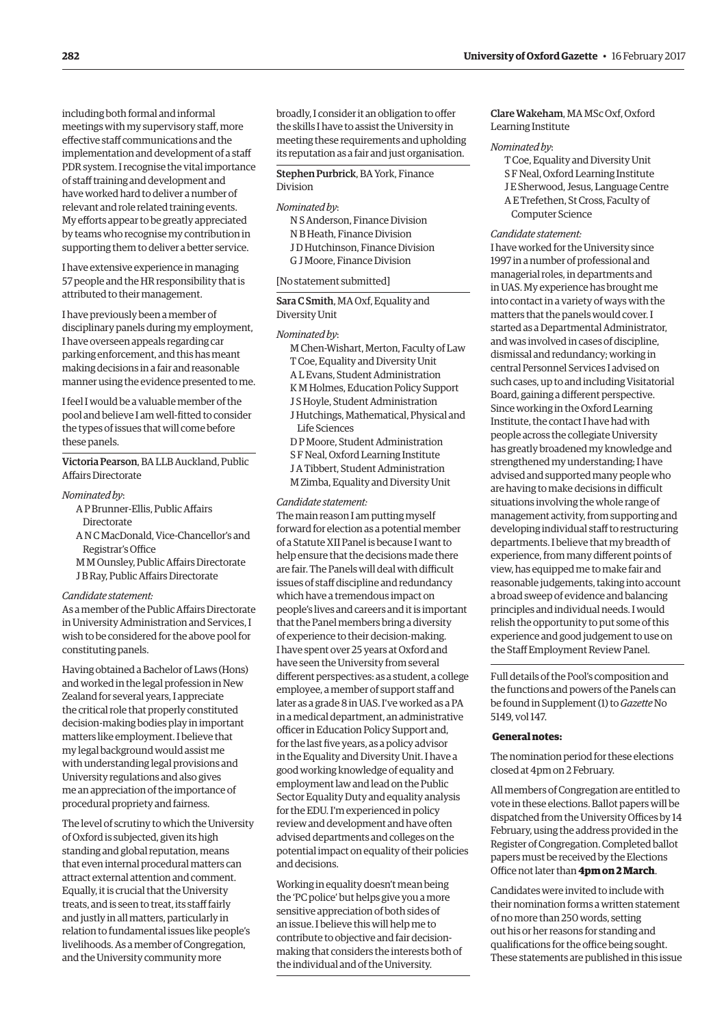including both formal and informal meetings with my supervisory staff, more effective staff communications and the implementation and development of a staff PDR system. I recognise the vital importance of staff training and development and have worked hard to deliver a number of relevant and role related training events. My efforts appear to be greatly appreciated by teams who recognise my contribution in supporting them to deliver a better service.

I have extensive experience in managing 57 people and the HR responsibility that is attributed to their management.

I have previously been a member of disciplinary panels during my employment, I have overseen appeals regarding car parking enforcement, and this has meant making decisions in a fair and reasonable manner using the evidence presented to me.

I feel I would be a valuable member of the pool and believe I am well-fitted to consider the types of issues that will come before these panels.

Victoria Pearson, BA LLB Auckland, Public Affairs Directorate

# *Nominated by*:

- A P Brunner-Ellis, Public Affairs
	- **Directorate**
- A N C MacDonald, Vice-Chancellor's and Registrar's Office
- M M Ounsley, Public Affairs Directorate J B Ray, Public Affairs Directorate

# *Candidate statement:*

As a member of the Public Affairs Directorate in University Administration and Services, I wish to be considered for the above pool for constituting panels.

Having obtained a Bachelor of Laws (Hons) and worked in the legal profession in New Zealand for several years, I appreciate the critical role that properly constituted decision-making bodies play in important matters like employment. I believe that my legal background would assist me with understanding legal provisions and University regulations and also gives me an appreciation of the importance of procedural propriety and fairness.

The level of scrutiny to which the University of Oxford is subjected, given its high standing and global reputation, means that even internal procedural matters can attract external attention and comment. Equally, it is crucial that the University treats, and is seen to treat, its staff fairly and justly in all matters, particularly in relation to fundamental issues like people's livelihoods. As a member of Congregation, and the University community more

broadly, I consider it an obligation to offer the skills I have to assist the University in meeting these requirements and upholding its reputation as a fair and just organisation.

# Stephen Purbrick, BA York, Finance Division

## *Nominated by*:

N S Anderson, Finance Division N B Heath, Finance Division J D Hutchinson, Finance Division G J Moore, Finance Division

# [No statement submitted]

Sara C Smith, MA Oxf, Equality and Diversity Unit

# *Nominated by*:

- M Chen-Wishart, Merton, Faculty of Law T Coe, Equality and Diversity Unit
- A L Evans, Student Administration
- K M Holmes, Education Policy Support
- J S Hoyle, Student Administration
- J Hutchings, Mathematical, Physical and Life Sciences
- D P Moore, Student Administration
- S F Neal, Oxford Learning Institute
- J A Tibbert, Student Administration M Zimba, Equality and Diversity Unit

# *Candidate statement:*

The main reason I am putting myself forward for election as a potential member of a Statute XII Panel is because I want to help ensure that the decisions made there are fair. The Panels will deal with difficult issues of staff discipline and redundancy which have a tremendous impact on people's lives and careers and it is important that the Panel members bring a diversity of experience to their decision-making. I have spent over 25 years at Oxford and have seen the University from several different perspectives: as a student, a college employee, a member of support staff and later as a grade 8 in UAS. I've worked as a PA in a medical department, an administrative officer in Education Policy Support and, for the last five years, as a policy advisor in the Equality and Diversity Unit. I have a good working knowledge of equality and employment law and lead on the Public Sector Equality Duty and equality analysis for the EDU. I'm experienced in policy review and development and have often advised departments and colleges on the potential impact on equality of their policies and decisions.

Working in equality doesn't mean being the 'PC police' but helps give you a more sensitive appreciation of both sides of an issue. I believe this will help me to contribute to objective and fair decisionmaking that considers the interests both of the individual and of the University.

# Clare Wakeham, MA MSc Oxf, Oxford Learning Institute

# *Nominated by*:

T Coe, Equality and Diversity Unit S F Neal, Oxford Learning Institute J E Sherwood, Jesus, Language Centre A E Trefethen, St Cross, Faculty of Computer Science

# *Candidate statement:*

I have worked for the University since 1997 in a number of professional and managerial roles, in departments and in UAS. My experience has brought me into contact in a variety of ways with the matters that the panels would cover. I started as a Departmental Administrator, and was involved in cases of discipline, dismissal and redundancy; working in central Personnel Services I advised on such cases, up to and including Visitatorial Board, gaining a different perspective. Since working in the Oxford Learning Institute, the contact I have had with people across the collegiate University has greatly broadened my knowledge and strengthened my understanding; I have advised and supported many people who are having to make decisions in difficult situations involving the whole range of management activity, from supporting and developing individual staff to restructuring departments. I believe that my breadth of experience, from many different points of view, has equipped me to make fair and reasonable judgements, taking into account a broad sweep of evidence and balancing principles and individual needs. I would relish the opportunity to put some of this experience and good judgement to use on the Staff Employment Review Panel.

Full details of the Pool's composition and the functions and powers of the Panels can be found in Supplement (1) to *Gazette* No 5149, vol 147.

# **General notes:**

The nomination period for these elections closed at 4pm on 2 February.

All members of Congregation are entitled to vote in these elections. Ballot papers will be dispatched from the University Offices by 14 February, using the address provided in the Register of Congregation. Completed ballot papers must be received by the Elections Office not later than **4pm on 2 March**.

Candidates were invited to include with their nomination forms a written statement of no more than 250 words, setting out his or her reasons for standing and qualifications for the office being sought. These statements are published in this issue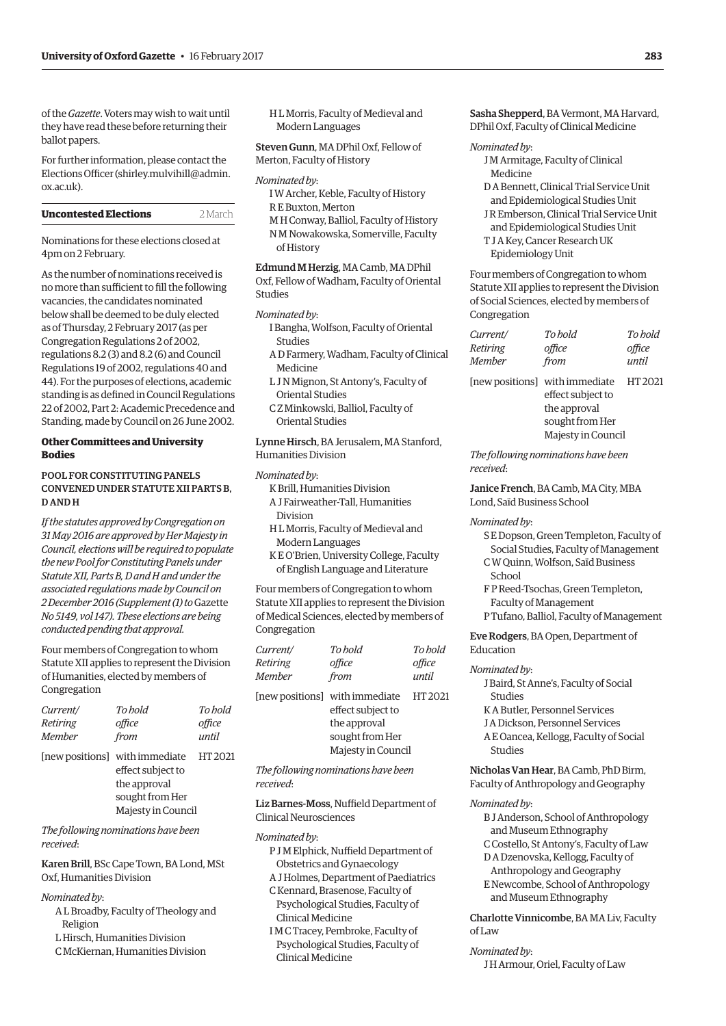of the *Gazette*. Voters may wish to wait until they have read these before returning their ballot papers.

For further information, please contact the Elections Officer [\(shirley.mulvihill@admin.](mailto:shirley.mulvihill@admin.ox.ac.uk) [ox.ac.uk\).](mailto:shirley.mulvihill@admin.ox.ac.uk)

| <b>Uncontested Elections</b> | 2 March |
|------------------------------|---------|
|                              |         |

Nominations for these elections closed at 4pm on 2 February.

As the number of nominations received is no more than sufficient to fill the following vacancies, the candidates nominated below shall be deemed to be duly elected as of Thursday, 2 February 2017 (as per Congregation Regulations 2 of 2002, regulations 8.2 (3) and 8.2 (6) and Council Regulations 19 of 2002, regulations 40 and 44). For the purposes of elections, academic standing is as defined in Council Regulations 22 of 2002, Part 2: Academic Precedence and Standing, made by Council on 26 June 2002.

# **Other Committees and University Bodies**

# POOL FOR CONSTITUTING PANELS CONVENED UNDER STATUTE XII PARTS B, D AND H

*If the statutes approved by Congregation on 31 May 2016 are approved by Her Majesty in Council, elections will be required to populate the new Pool for Constituting Panels under Statute XII, Parts B, D and H and under the associated regulations made by Council on 2 December 2016 (Supplement (1) to* Gazette *No 5149, vol 147). These elections are being conducted pending that approval.*

Four members of Congregation to whom Statute XII applies to represent the Division of Humanities, elected by members of Congregation

| Current/      | To hold                                                                                                      | To hold |
|---------------|--------------------------------------------------------------------------------------------------------------|---------|
| Retiring      | office                                                                                                       | office  |
| <b>Member</b> | from                                                                                                         | until   |
|               | [new positions] with immediate<br>effect subject to<br>the approval<br>sought from Her<br>Majesty in Council | HT 2021 |
|               |                                                                                                              |         |

*The following nominations have been received*:

Karen Brill, BSc Cape Town, BA Lond, MSt Oxf, Humanities Division

#### *Nominated by*:

- A L Broadby, Faculty of Theology and Religion
- L Hirsch, Humanities Division
- C McKiernan, Humanities Division

H L Morris, Faculty of Medieval and Modern Languages

Steven Gunn, MA DPhil Oxf, Fellow of Merton, Faculty of History

#### *Nominated by*:

- I W Archer, Keble, Faculty of History R E Buxton, Merton
- M H Conway, Balliol, Faculty of History N M Nowakowska, Somerville, Faculty of History

Edmund M Herzig, MA Camb, MA DPhil Oxf, Fellow of Wadham, Faculty of Oriental Studies

## *Nominated by*:

- I Bangha, Wolfson, Faculty of Oriental Studies
- A D Farmery, Wadham, Faculty of Clinical Medicine
- L J N Mignon, St Antony's, Faculty of Oriental Studies
- C Z Minkowski, Balliol, Faculty of Oriental Studies

Lynne Hirsch, BA Jerusalem, MA Stanford, Humanities Division

# *Nominated by*:

- K Brill, Humanities Division
- A J Fairweather-Tall, Humanities
- Division
- H L Morris, Faculty of Medieval and Modern Languages
- K E O'Brien, University College, Faculty of English Language and Literature

Four members of Congregation to whom Statute XII applies to represent the Division of Medical Sciences, elected by members of Congregation

| Current/ | To hold                                             | To hold |
|----------|-----------------------------------------------------|---------|
| Retiring | office                                              | office  |
| Member   | from                                                | until   |
|          | [new positions] with immediate<br>effect subject to | HT 2021 |
|          |                                                     |         |
|          |                                                     |         |

| the approval       |  |
|--------------------|--|
| sought from Her    |  |
| Majesty in Council |  |

*The following nominations have been received*:

Liz Barnes-Moss, Nuffield Department of Clinical Neurosciences

#### *Nominated by*:

- P J M Elphick, Nuffield Department of Obstetrics and Gynaecology
- A J Holmes, Department of Paediatrics C Kennard, Brasenose, Faculty of
- Psychological Studies, Faculty of Clinical Medicine
- I M C Tracey, Pembroke, Faculty of Psychological Studies, Faculty of Clinical Medicine

Sasha Shepperd, BA Vermont, MA Harvard, DPhil Oxf, Faculty of Clinical Medicine

#### *Nominated by*:

- J M Armitage, Faculty of Clinical Medicine
- D A Bennett, Clinical Trial Service Unit and Epidemiological Studies Unit
- J R Emberson, Clinical Trial Service Unit and Epidemiological Studies Unit
- T J A Key, Cancer Research UK Epidemiology Unit

Four members of Congregation to whom Statute XII applies to represent the Division of Social Sciences, elected by members of Congregation

| Current/      | To hold | To hold |
|---------------|---------|---------|
| Retiring      | office  | office  |
| <b>Member</b> | from    | until   |

[new positions] with immediate HT 2021 effect subject to the approval sought from Her Majesty in Council

*The following nominations have been received*:

Janice French, BA Camb, MA City, MBA Lond, Saïd Business School

#### *Nominated by*:

- S E Dopson, Green Templeton, Faculty of Social Studies, Faculty of Management
- C W Quinn, Wolfson, Saïd Business School
- F P Reed-Tsochas, Green Templeton, Faculty of Management P Tufano, Balliol, Faculty of Management

# Eve Rodgers, BA Open, Department of Education

#### *Nominated by*:

- J Baird, St Anne's, Faculty of Social Studies
- K A Butler, Personnel Services
- J A Dickson, Personnel Services
- A E Oancea, Kellogg, Faculty of Social Studies

# Nicholas Van Hear, BA Camb, PhD Birm, Faculty of Anthropology and Geography

#### *Nominated by*:

- B J Anderson, School of Anthropology and Museum Ethnography C Costello, St Antony's, Faculty of Law D A Dzenovska, Kellogg, Faculty of Anthropology and Geography
- E Newcombe, School of Anthropology and Museum Ethnography

# Charlotte Vinnicombe, BA MA Liv, Faculty of Law

## *Nominated by*:

J H Armour, Oriel, Faculty of Law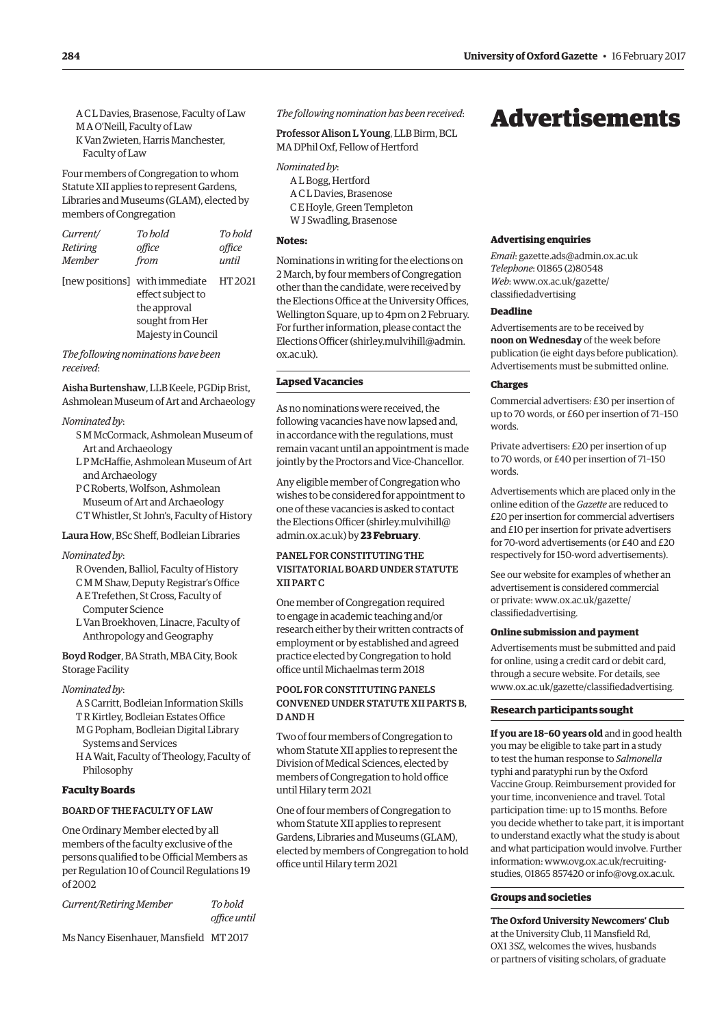<span id="page-9-0"></span>A C L Davies, Brasenose, Faculty of Law M A O'Neill, Faculty of Law K Van Zwieten, Harris Manchester, Faculty of Law

Four members of Congregation to whom Statute XII applies to represent Gardens, Libraries and Museums (GLAM), elected by members of Congregation

| Current/ | To hold                                | To bold |
|----------|----------------------------------------|---------|
| Retiring | office                                 | office  |
| Member   | from                                   | until   |
|          | [new positions] with immediate HT 2021 |         |
|          | effect subject to                      |         |
|          | the approval                           |         |

sought from Her Majesty in Council

*The following nominations have been received*:

Aisha Burtenshaw, LLB Keele, PGDip Brist, Ashmolean Museum of Art and Archaeology

#### *Nominated by*:

- S M McCormack, Ashmolean Museum of Art and Archaeology
- L P McHaffie, Ashmolean Museum of Art and Archaeology
- P C Roberts, Wolfson, Ashmolean
- Museum of Art and Archaeology C T Whistler, St John's, Faculty of History

#### Laura How, BSc Sheff, Bodleian Libraries

#### *Nominated by*:

- R Ovenden, Balliol, Faculty of History
- C M M Shaw, Deputy Registrar's Office
- A E Trefethen, St Cross, Faculty of Computer Science
- L Van Broekhoven, Linacre, Faculty of Anthropology and Geography

Boyd Rodger, BA Strath, MBA City, Book Storage Facility

#### *Nominated by*:

- A S Carritt, Bodleian Information Skills T R Kirtley, Bodleian Estates Office
- M G Popham, Bodleian Digital Library Systems and Services
- H A Wait, Faculty of Theology, Faculty of Philosophy

#### **Faculty Boards**

#### BOARD OF THE FACULTY OF LAW

One Ordinary Member elected by all members of the faculty exclusive of the persons qualified to be Official Members as per Regulation 10 of Council Regulations 19 of 2002

*Current/Retiring Member To hold* 

*office until*

Ms Nancy Eisenhauer, Mansfield MT 2017

*The following nomination has been received*:

Professor Alison L Young, LLB Birm, BCL MA DPhil Oxf, Fellow of Hertford

- *Nominated by*:
	- A L Bogg, Hertford A C L Davies, Brasenose
	- C E Hoyle, Green Templeton W J Swadling, Brasenose

#### **Notes:**

Nominations in writing for the elections on 2 March, by four members of Congregation other than the candidate, were received by the Elections Office at the University Offices, Wellington Square, up to 4pm on 2 February. For further information, please contact the Elections Officer ([shirley.mulvihill@admin.](mailto:shirley.mulvihill@admin.ox.ac.uk) [ox.ac.uk\).](mailto:shirley.mulvihill@admin.ox.ac.uk)

# **Lapsed Vacancies**

As no nominations were received, the following vacancies have now lapsed and, in accordance with the regulations, must remain vacant until an appointment is made jointly by the Proctors and Vice-Chancellor.

Any eligible member of Congregation who wishes to be considered for appointment to one of these vacancies is asked to contact the Elections Officer [\(shirley.mulvihill@](mailto:shirley.mulvihill@admin.ox.ac.uk) [admin.ox.ac.uk\) by](mailto:shirley.mulvihill@admin.ox.ac.uk) **23 February**.

# PANEL FOR CONSTITUTING THE VISITATORIAL BOARD UNDER STATUTE XII PART C

One member of Congregation required to engage in academic teaching and/or research either by their written contracts of employment or by established and agreed practice elected by Congregation to hold office until Michaelmas term 2018

# POOL FOR CONSTITUTING PANELS CONVENED UNDER STATUTE XII PARTS B, D AND H

Two of four members of Congregation to whom Statute XII applies to represent the Division of Medical Sciences, elected by members of Congregation to hold office until Hilary term 2021

One of four members of Congregation to whom Statute XII applies to represent Gardens, Libraries and Museums (GLAM), elected by members of Congregation to hold office until Hilary term 2021

# Advertisements

#### **Advertising enquiries**

*Email*: [gazette.ads@admin.ox.ac.uk](mailto:gazette.ads@admin.ox.ac.uk) *Telephone*: 01865 (2)80548 *Web*[: www.ox.ac.uk/gazette/](www.ox.ac.uk/gazette/classifiedadvertising) classifiedadvertising

# **Deadline**

Advertisements are to be received by **noon on Wednesday** of the week before publication (ie eight days before publication). Advertisements must be submitted online.

#### **Charges**

Commercial advertisers: £30 per insertion of up to 70 words, or £60 per insertion of 71–150 words.

Private advertisers: £20 per insertion of up to 70 words, or £40 per insertion of 71–150 words.

Advertisements which are placed only in the online edition of the *Gazette* are reduced to £20 per insertion for commercial advertisers and £10 per insertion for private advertisers for 70-word advertisements (or £40 and £20 respectively for 150-word advertisements).

See our website for examples of whether an advertisement is considered commercial [or private: www.ox.ac.uk/gazette/](www.ox.ac.uk/gazette/classifiedadvertising) classifiedadvertising.

# **Online submission and payment**

Advertisements must be submitted and paid for online, using a credit card or debit card, through a secure website. For details, see [www.ox.ac.uk/gazette/classifiedadvertising.](http://www.ox.ac.uk/gazette/classifiedadvertising)

#### **Research participants sought**

**If you are 18–60 years old** and in good health you may be eligible to take part in a study to test the human response to *Salmonella* typhi and paratyphi run by the Oxford Vaccine Group. Reimbursement provided for your time, inconvenience and travel. Total participation time: up to 15 months. Before you decide whether to take part, it is important to understand exactly what the study is about and what participation would involve. Further informati[on: www.ovg.ox.ac.uk/recruiting](www.ovg.ox.ac.uk/recruiting-studies)studies, 01865 857420 or [info@ovg.ox.ac.uk.](mailto:info@ovg.ox.ac.uk)

#### **Groups and societies**

**The Oxford University Newcomers' Club** at the University Club, 11 Mansfield Rd, OX1 3SZ, welcomes the wives, husbands or partners of visiting scholars, of graduate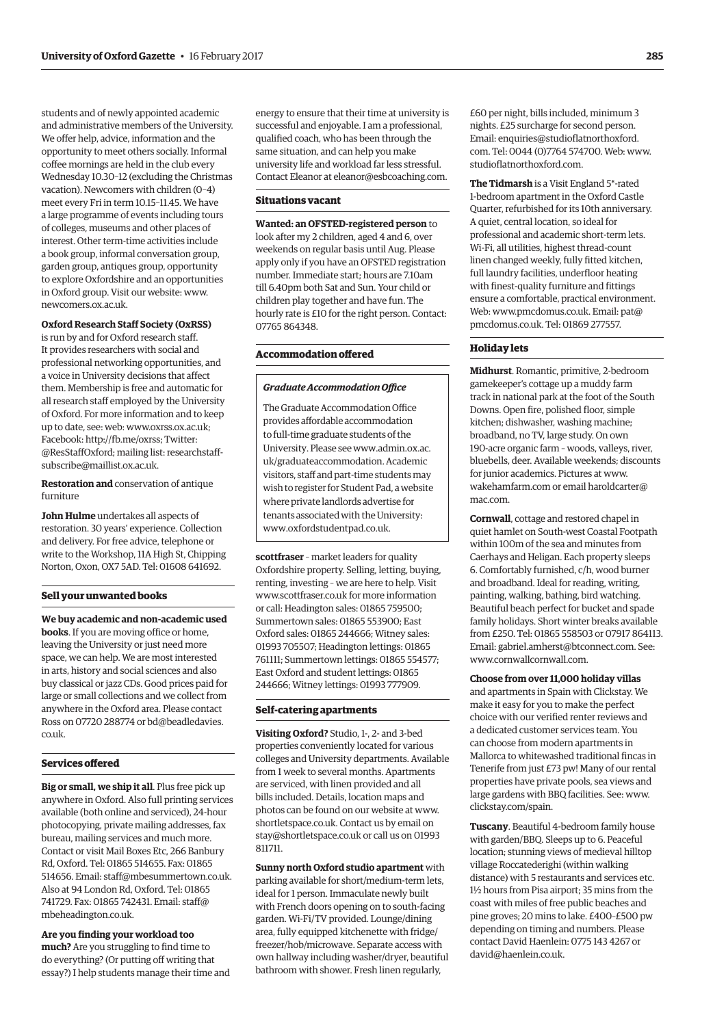students and of newly appointed academic and administrative members of the University. We offer help, advice, information and the opportunity to meet others socially. Informal coffee mornings are held in the club every Wednesday 10.30–12 (excluding the Christmas vacation). Newcomers with children (0–4) meet every Fri in term 10.15–11.45. We have a large programme of events including tours of colleges, museums and other places of interest. Other term-time activities include a book group, informal conversation group, garden group, antiques group, opportunity to explore Oxfordshire and an opportunities in Oxford group. Visit our website: [www.](http://www.newcomers.ox.ac.uk) [newcomers.ox.ac.uk.](http://www.newcomers.ox.ac.uk)

#### **Oxford Research Staff Society (OxRSS)**

is run by and for Oxford research staff. It provides researchers with social and professional networking opportunities, and a voice in University decisions that affect them. Membership is free and automatic for all research staff employed by the University of Oxford. For more information and to keep up to date, see: web: [www.oxrss.ox.ac.uk;](http://www.oxrss.ox.ac.uk)  Facebook: [http://fb.me/oxrss; Tw](http://fb.me/oxrss)itter: @ResStaffOxford; mailin[g list: researchstaff](mailto:researchstaff-subscribe@maillist.ox.ac.uk)subscribe@maillist.ox.ac.uk.

**Restoration and** conservation of antique furniture

**John Hulme** undertakes all aspects of restoration. 30 years' experience. Collection and delivery. For free advice, telephone or write to the Workshop, 11A High St, Chipping Norton, Oxon, OX7 5AD. Tel: 01608 641692.

#### **Sell your unwanted books**

**We buy academic and non-academic used books**. If you are moving office or home, leaving the University or just need more space, we can help. We are most interested in arts, history and social sciences and also buy classical or jazz CDs. Good prices paid for large or small collections and we collect from anywhere in the Oxford area. Please contact [Ross on 07720 288774 or bd@beadledavies.](mailto:bd@beadledavies.co.uk) co.uk.

#### **Services offered**

**Big or small, we ship it all**. Plus free pick up anywhere in Oxford. Also full printing services available (both online and serviced), 24-hour photocopying, private mailing addresses, fax bureau, mailing services and much more. Contact or visit Mail Boxes Etc, 266 Banbury Rd, Oxford. Tel: 01865 514655. Fax: 01865 514656. Email: [staff@mbesummertown.co.uk.](mailto:staff@mbesummertown.co.uk)  Also at 94 London Rd, Oxford. Tel: 01865 [741729. Fax: 01865 742431. Email: staff@](mailto:staff@mbeheadington.co.uk) mbeheadington.co.uk.

**Are you finding your workload too** 

**much?** Are you struggling to find time to do everything? (Or putting off writing that essay?) I help students manage their time and

energy to ensure that their time at university is successful and enjoyable. I am a professional, qualified coach, who has been through the same situation, and can help you make university life and workload far less stressful. Contact Eleanor at [eleanor@esbcoaching.com.](mailto:eleanor@esbcoaching.com)

#### **Situations vacant**

**Wanted: an OFSTED-registered person** to look after my 2 children, aged 4 and 6, over weekends on regular basis until Aug. Please apply only if you have an OFSTED registration number. Immediate start; hours are 7.10am till 6.40pm both Sat and Sun. Your child or children play together and have fun. The hourly rate is £10 for the right person. Contact: 07765 864348.

# **Accommodation offered**

#### *Graduate Accommodation Office*

The Graduate Accommodation Office provides affordable accommodation to full-time graduate students of the [University. Please see www.admin.ox.ac.](www.admin.ox.ac.uk/graduateaccommodation) uk/graduateaccommodation. Academic visitors, staff and part-time students may wish to register for Student Pad, a website where private landlords advertise for tenants associated with the University: [www.oxfordstudentpad.co.uk.](http://www.oxfordstudentpad.co.uk)

**scottfraser** – market leaders for quality Oxfordshire property. Selling, letting, buying, renting, investing – we are here to help. Visit [www.scottfraser.co.uk fo](http://www.scottfraser.co.uk)r more information or call: Headington sales: 01865 759500; Summertown sales: 01865 553900; East Oxford sales: 01865 244666; Witney sales: 01993 705507; Headington lettings: 01865 761111; Summertown lettings: 01865 554577; East Oxford and student lettings: 01865 244666; Witney lettings: 01993 777909.

#### **Self-catering apartments**

**Visiting Oxford?** Studio, 1-, 2- and 3-bed properties conveniently located for various colleges and University departments. Available from 1 week to several months. Apartments are serviced, with linen provided and all bills included. Details, location maps and photos can be found on our website at [www.](http://www.shortletspace.co.uk) [shortletspace.co.uk. Co](http://www.shortletspace.co.uk)ntact us by email on [stay@shortletspace.co.uk or](mailto:stay@shortletspace.co.uk) call us on 01993 811711.

**Sunny north Oxford studio apartment** with parking available for short/medium-term lets, ideal for 1 person. Immaculate newly built with French doors opening on to south-facing garden. Wi-Fi/TV provided. Lounge/dining area, fully equipped kitchenette with fridge/ freezer/hob/microwave. Separate access with own hallway including washer/dryer, beautiful bathroom with shower. Fresh linen regularly,

£60 per night, bills included, minimum 3 nights. £25 surcharge for second person. Email: enquiries@studioflatnorthoxford. com. Tel: 0044 (0)7764 574700. Web: [www.](http://www.studioflatnorthoxford.com) [studioflatnorthoxford.com.](http://www.studioflatnorthoxford.com)

**The Tidmarsh** is a Visit England 5\*-rated 1-bedroom apartment in the Oxford Castle Quarter, refurbished for its 10th anniversary. A quiet, central location, so ideal for professional and academic short-term lets. Wi-Fi, all utilities, highest thread-count linen changed weekly, fully fitted kitchen, full laundry facilities, underfloor heating with finest-quality furniture and fittings ensure a comfortable, practical environment. Web: [www.pmcdomus.co.uk. Em](http://www.pmcdomus.co.uk)[ail: pat@](mailto:pat@pmcdomus.co.uk) pmcdomus.co.uk. Tel: 01869 277557.

## **Holiday lets**

**Midhurst**. Romantic, primitive, 2-bedroom gamekeeper's cottage up a muddy farm track in national park at the foot of the South Downs. Open fire, polished floor, simple kitchen; dishwasher, washing machine; broadband, no TV, large study. On own 190-acre organic farm – woods, valleys, river, bluebells, deer. Available weekends; discounts for junior academics. Pictures at [www.](http://www.wakehamfarm.com) [wakehamfarm.com or](http://www.wakehamfarm.com) e[mail haroldcarter@](mailto:haroldcarter@mac.com) mac.com.

**Cornwall**, cottage and restored chapel in quiet hamlet on South-west Coastal Footpath within 100m of the sea and minutes from Caerhays and Heligan. Each property sleeps 6. Comfortably furnished, c/h, wood burner and broadband. Ideal for reading, writing, painting, walking, bathing, bird watching. Beautiful beach perfect for bucket and spade family holidays. Short winter breaks available from £250. Tel: 01865 558503 or 07917 864113. Email: [gabriel.amherst@btconnect.com. Se](mailto:gabriel.amherst@btconnect.com)e: [www.cornwallcornwall.com.](http://www.cornwallcornwall.com)

#### **Choose from over 11,000 holiday villas**

and apartments in Spain with Clickstay. We make it easy for you to make the perfect choice with our verified renter reviews and a dedicated customer services team. You can choose from modern apartments in Mallorca to whitewashed traditional fincas in Tenerife from just £73 pw! Many of our rental properties have private pools, sea views and large gardens with BBQ facilities. See: [www.](http://www.clickstay.com/spain) [clickstay.com/spain.](http://www.clickstay.com/spain)

**Tuscany**. Beautiful 4-bedroom family house with garden/BBQ. Sleeps up to 6. Peaceful location; stunning views of medieval hilltop village Roccatederighi (within walking distance) with 5 restaurants and services etc. 1½ hours from Pisa airport; 35 mins from the coast with miles of free public beaches and pine groves; 20 mins to lake. £400–£500 pw depending on timing and numbers. Please contact David Haenlein: 0775 143 4267 or [david@haenlein.co.uk.](mailto:david@haenlein.co.uk)